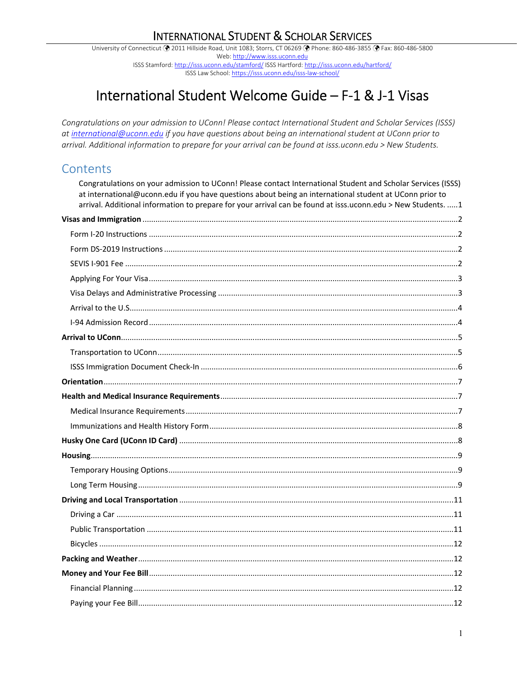# **INTERNATIONAL STUDENT & SCHOLAR SERVICES**

University of Connecticut ( 2011 Hillside Road, Unit 1083; Storrs, CT 06269 ( Phone: 860-486-3855 ( PFax: 860-486-5800 Web: http://www.isss.uconn.edu ISSS Stamford: http://isss.uconn.edu/stamford/ ISSS Hartford: http://isss.uconn.edu/hartford/ ISSS Law School: https://isss.uconn.edu/isss-law-school/

# International Student Welcome Guide - F-1 & J-1 Visas

Congratulations on your admission to UConn! Please contact International Student and Scholar Services (ISSS) at international@uconn.edu if you have questions about being an international student at UConn prior to arrival. Additional information to prepare for your arrival can be found at isss.uconn.edu > New Students.

# Contents

| Congratulations on your admission to UConn! Please contact International Student and Scholar Services (ISSS)<br>at international@uconn.edu if you have questions about being an international student at UConn prior to<br>arrival. Additional information to prepare for your arrival can be found at isss.uconn.edu > New Students. 1 |
|-----------------------------------------------------------------------------------------------------------------------------------------------------------------------------------------------------------------------------------------------------------------------------------------------------------------------------------------|
|                                                                                                                                                                                                                                                                                                                                         |
|                                                                                                                                                                                                                                                                                                                                         |
|                                                                                                                                                                                                                                                                                                                                         |
|                                                                                                                                                                                                                                                                                                                                         |
|                                                                                                                                                                                                                                                                                                                                         |
|                                                                                                                                                                                                                                                                                                                                         |
|                                                                                                                                                                                                                                                                                                                                         |
|                                                                                                                                                                                                                                                                                                                                         |
|                                                                                                                                                                                                                                                                                                                                         |
|                                                                                                                                                                                                                                                                                                                                         |
|                                                                                                                                                                                                                                                                                                                                         |
|                                                                                                                                                                                                                                                                                                                                         |
|                                                                                                                                                                                                                                                                                                                                         |
|                                                                                                                                                                                                                                                                                                                                         |
|                                                                                                                                                                                                                                                                                                                                         |
|                                                                                                                                                                                                                                                                                                                                         |
|                                                                                                                                                                                                                                                                                                                                         |
|                                                                                                                                                                                                                                                                                                                                         |
|                                                                                                                                                                                                                                                                                                                                         |
|                                                                                                                                                                                                                                                                                                                                         |
|                                                                                                                                                                                                                                                                                                                                         |
|                                                                                                                                                                                                                                                                                                                                         |
|                                                                                                                                                                                                                                                                                                                                         |
|                                                                                                                                                                                                                                                                                                                                         |
|                                                                                                                                                                                                                                                                                                                                         |
|                                                                                                                                                                                                                                                                                                                                         |
|                                                                                                                                                                                                                                                                                                                                         |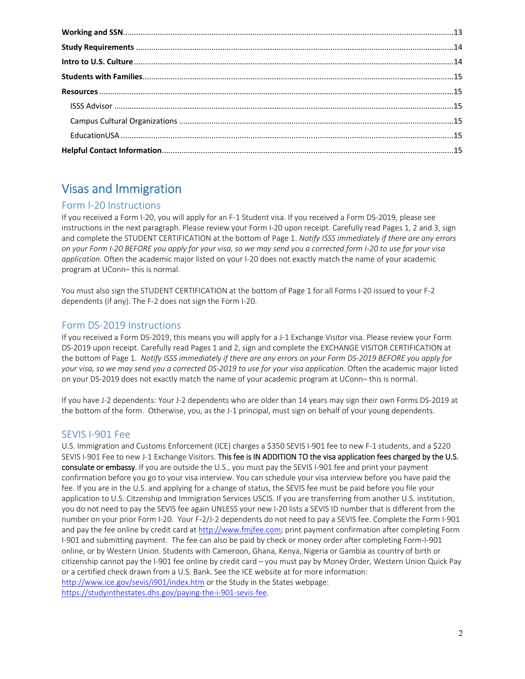# Visas and Immigration

# Form I‐20 Instructions

If you received a Form I‐20, you will apply for an F‐1 Student visa. If you received a Form DS‐2019, please see instructions in the next paragraph. Please review your Form I-20 upon receipt. Carefully read Pages 1, 2 and 3, sign and complete the STUDENT CERTIFICATION at the bottom of Page 1. *Notify ISSS immediately if there are any errors on your Form I‐20 BEFORE you apply for your visa, so we may send you a corrected form I‐20 to use for your visa application.* Often the academic major listed on your I‐20 does not exactly match the name of your academic program at UConn– this is normal.

You must also sign the STUDENT CERTIFICATION at the bottom of Page 1 for all Forms I-20 issued to your F-2 dependents (if any). The F‐2 does not sign the Form I‐20.

# Form DS‐2019 Instructions

If you received a Form DS‐2019, this means you will apply for a J‐1 Exchange Visitor visa. Please review your Form DS-2019 upon receipt. Carefully read Pages 1 and 2, sign and complete the EXCHANGE VISITOR CERTIFICATION at the bottom of Page 1.  *Notify ISSS immediately if there are any errors on your Form DS‐2019 BEFORE you apply for*  your visa, so we may send you a corrected DS-2019 to use for your visa application. Often the academic major listed on your DS‐2019 does not exactly match the name of your academic program at UConn– this is normal.

If you have J‐2 dependents: Your J‐2 dependents who are older than 14 years may sign their own Forms DS‐2019 at the bottom of the form. Otherwise, you, as the J-1 principal, must sign on behalf of your young dependents.

# SEVIS I‐901 Fee

U.S. Immigration and Customs Enforcement (ICE) charges a \$350 SEVIS I‐901 fee to new F‐1 students, and a \$220 SEVIS I-901 Fee to new J-1 Exchange Visitors. This fee is IN ADDITION TO the visa application fees charged by the U.S. consulate or embassy. If you are outside the U.S., you must pay the SEVIS I-901 fee and print your payment confirmation before you go to your visa interview. You can schedule your visa interview before you have paid the fee. If you are in the U.S. and applying for a change of status, the SEVIS fee must be paid before you file your application to U.S. Citzenship and Immigration Services USCIS. If you are transferring from another U.S. institution, you do not need to pay the SEVIS fee again UNLESS your new I‐20 lists a SEVIS ID number that is different from the number on your prior Form I‐20. Your F‐2/J‐2 dependents do not need to pay a SEVIS fee. Complete the Form I‐901 and pay the fee online by credit card at http://www.fmjfee.com; print payment confirmation after completing Form I‐901 and submitting payment. The fee can also be paid by check or money order after completing Form‐I‐901 online, or by Western Union. Students with Cameroon, Ghana, Kenya, Nigeria or Gambia as country of birth or citizenship cannot pay the I‐901 fee online by credit card – you must pay by Money Order, Western Union Quick Pay or a certified check drawn from a U.S. Bank. See the ICE website at for more information: http://www.ice.gov/sevis/i901/index.htm or the Study in the States webpage: https://studyinthestates.dhs.gov/paying-the-i-901-sevis-fee.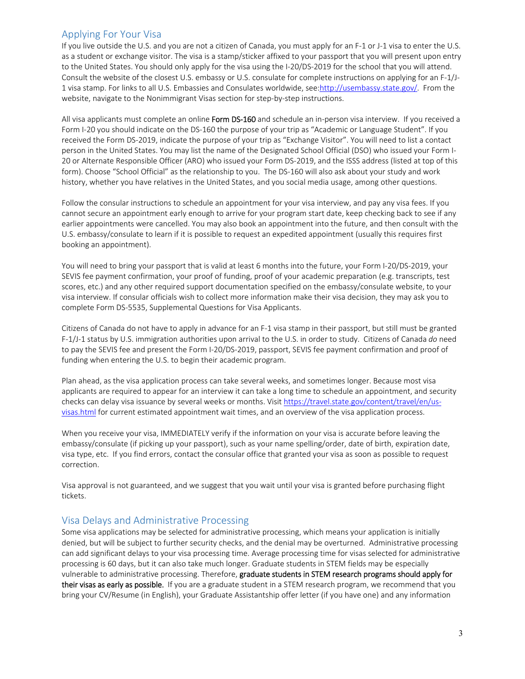## Applying For Your Visa

If you live outside the U.S. and you are not a citizen of Canada, you must apply for an F‐1 or J‐1 visa to enter the U.S. as a student or exchange visitor. The visa is a stamp/sticker affixed to your passport that you will present upon entry to the United States. You should only apply for the visa using the I‐20/DS‐2019 for the school that you will attend. Consult the website of the closest U.S. embassy or U.S. consulate for complete instructions on applying for an F‐1/J‐ 1 visa stamp. For links to all U.S. Embassies and Consulates worldwide, see:http://usembassy.state.gov/. From the website, navigate to the Nonimmigrant Visas section for step-by-step instructions.

All visa applicants must complete an online Form DS-160 and schedule an in-person visa interview. If you received a Form I‐20 you should indicate on the DS‐160 the purpose of your trip as "Academic or Language Student". If you received the Form DS‐2019, indicate the purpose of your trip as "Exchange Visitor". You will need to list a contact person in the United States. You may list the name of the Designated School Official (DSO) who issued your Form I‐ 20 or Alternate Responsible Officer (ARO) who issued your Form DS‐2019, and the ISSS address (listed at top of this form). Choose "School Official" as the relationship to you. The DS‐160 will also ask about your study and work history, whether you have relatives in the United States, and you social media usage, among other questions.

Follow the consular instructions to schedule an appointment for your visa interview, and pay any visa fees. If you cannot secure an appointment early enough to arrive for your program start date, keep checking back to see if any earlier appointments were cancelled. You may also book an appointment into the future, and then consult with the U.S. embassy/consulate to learn if it is possible to request an expedited appointment (usually this requires first booking an appointment).

You will need to bring your passport that is valid at least 6 months into the future, your Form I‐20/DS‐2019, your SEVIS fee payment confirmation, your proof of funding, proof of your academic preparation (e.g. transcripts, test scores, etc.) and any other required support documentation specified on the embassy/consulate website, to your visa interview. If consular officials wish to collect more information make their visa decision, they may ask you to complete Form DS‐5535, Supplemental Questions for Visa Applicants.

Citizens of Canada do not have to apply in advance for an F‐1 visa stamp in their passport, but still must be granted F‐1/J‐1 status by U.S. immigration authorities upon arrival to the U.S. in order to study. Citizens of Canada *do* need to pay the SEVIS fee and present the Form I-20/DS-2019, passport, SEVIS fee payment confirmation and proof of funding when entering the U.S. to begin their academic program.

Plan ahead, as the visa application process can take several weeks, and sometimes longer. Because most visa applicants are required to appear for an interview it can take a long time to schedule an appointment, and security checks can delay visa issuance by several weeks or months. Visit https://travel.state.gov/content/travel/en/usvisas.html for current estimated appointment wait times, and an overview of the visa application process.

When you receive your visa, IMMEDIATELY verify if the information on your visa is accurate before leaving the embassy/consulate (if picking up your passport), such as your name spelling/order, date of birth, expiration date, visa type, etc. If you find errors, contact the consular office that granted your visa as soon as possible to request correction.

Visa approval is not guaranteed, and we suggest that you wait until your visa is granted before purchasing flight tickets.

### Visa Delays and Administrative Processing

Some visa applications may be selected for administrative processing, which means your application is initially denied, but will be subject to further security checks, and the denial may be overturned. Administrative processing can add significant delays to your visa processing time. Average processing time for visas selected for administrative processing is 60 days, but it can also take much longer. Graduate students in STEM fields may be especially vulnerable to administrative processing. Therefore, graduate students in STEM research programs should apply for their visas as early as possible. If you are a graduate student in a STEM research program, we recommend that you bring your CV/Resume (in English), your Graduate Assistantship offer letter (if you have one) and any information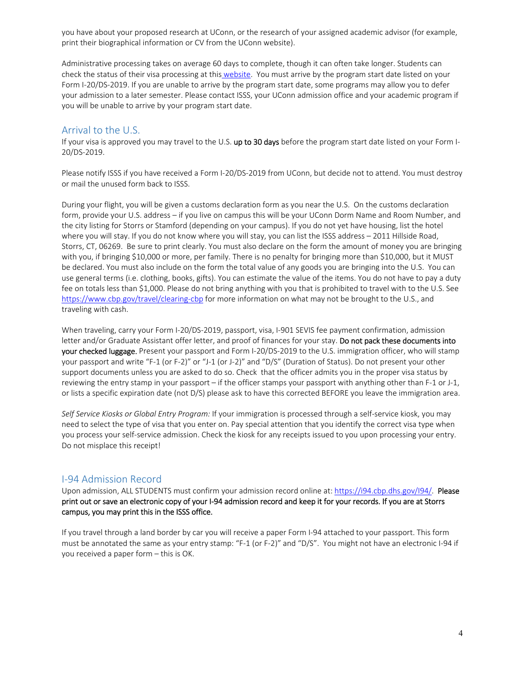you have about your proposed research at UConn, or the research of your assigned academic advisor (for example, print their biographical information or CV from the UConn website).

Administrative processing takes on average 60 days to complete, though it can often take longer. Students can check the status of their visa processing at this website. You must arrive by the program start date listed on your Form I-20/DS-2019. If you are unable to arrive by the program start date, some programs may allow you to defer your admission to a later semester. Please contact ISSS, your UConn admission office and your academic program if you will be unable to arrive by your program start date.

### Arrival to the U.S.

If your visa is approved you may travel to the U.S. up to 30 days before the program start date listed on your Form I-20/DS‐2019.

Please notify ISSS if you have received a Form I‐20/DS‐2019 from UConn, but decide not to attend. You must destroy or mail the unused form back to ISSS.

During your flight, you will be given a customs declaration form as you near the U.S. On the customs declaration form, provide your U.S. address – if you live on campus this will be your UConn Dorm Name and Room Number, and the city listing for Storrs or Stamford (depending on your campus). If you do not yet have housing, list the hotel where you will stay. If you do not know where you will stay, you can list the ISSS address - 2011 Hillside Road, Storrs, CT, 06269. Be sure to print clearly. You must also declare on the form the amount of money you are bringing with you, if bringing \$10,000 or more, per family. There is no penalty for bringing more than \$10,000, but it MUST be declared. You must also include on the form the total value of any goods you are bringing into the U.S. You can use general terms (i.e. clothing, books, gifts). You can estimate the value of the items. You do not have to pay a duty fee on totals less than \$1,000. Please do not bring anything with you that is prohibited to travel with to the U.S. See https://www.cbp.gov/travel/clearing-cbp for more information on what may not be brought to the U.S., and traveling with cash.

When traveling, carry your Form I‐20/DS‐2019, passport, visa, I‐901 SEVIS fee payment confirmation, admission letter and/or Graduate Assistant offer letter, and proof of finances for your stay. Do not pack these documents into your checked luggage. Present your passport and Form I-20/DS-2019 to the U.S. immigration officer, who will stamp your passport and write "F‐1 (or F‐2)" or "J‐1 (or J‐2)" and "D/S" (Duration of Status). Do not present your other support documents unless you are asked to do so. Check that the officer admits you in the proper visa status by reviewing the entry stamp in your passport – if the officer stamps your passport with anything other than F‐1 or J‐1, or lists a specific expiration date (not D/S) please ask to have this corrected BEFORE you leave the immigration area.

*Self Service Kiosks or Global Entry Program:* If your immigration is processed through a self‐service kiosk, you may need to select the type of visa that you enter on. Pay special attention that you identify the correct visa type when you process your self‐service admission. Check the kiosk for any receipts issued to you upon processing your entry. Do not misplace this receipt!

### I‐94 Admission Record

Upon admission, ALL STUDENTS must confirm your admission record online at: https://i94.cbp.dhs.gov/I94/. Please print out or save an electronic copy of your I‐94 admission record and keep it for your records. If you are at Storrs campus, you may print this in the ISSS office.

If you travel through a land border by car you will receive a paper Form I‐94 attached to your passport. This form must be annotated the same as your entry stamp: "F-1 (or F-2)" and "D/S". You might not have an electronic I-94 if you received a paper form – this is OK.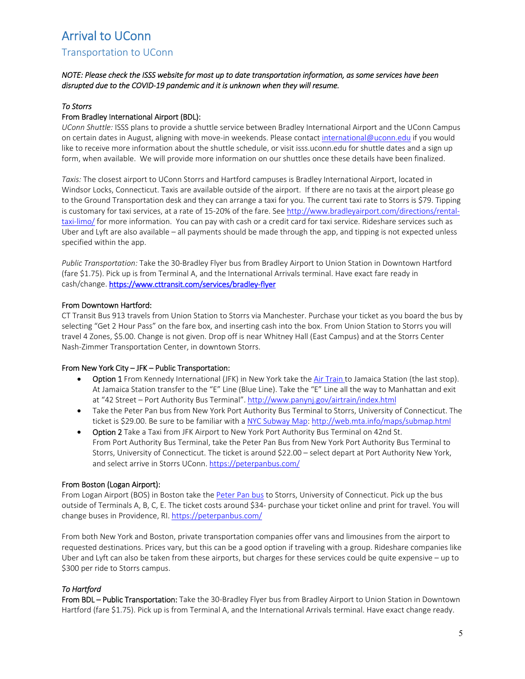# Arrival to UConn

### Transportation to UConn

#### *NOTE: Please check the ISSS website for most up to date transportation information, as some services have been disrupted due to the COVID‐19 pandemic and it is unknown when they will resume.*

#### *To Storrs*

#### From Bradley International Airport (BDL):

*UConn Shuttle:* ISSS plans to provide a shuttle service between Bradley International Airport and the UConn Campus on certain dates in August, aligning with move-in weekends. Please contact international@uconn.edu if you would like to receive more information about the shuttle schedule, or visit isss.uconn.edu for shuttle dates and a sign up form, when available. We will provide more information on our shuttles once these details have been finalized.

*Taxis:* The closest airport to UConn Storrs and Hartford campuses is Bradley International Airport, located in Windsor Locks, Connecticut. Taxis are available outside of the airport. If there are no taxis at the airport please go to the Ground Transportation desk and they can arrange a taxi for you. The current taxi rate to Storrs is \$79. Tipping is customary for taxi services, at a rate of 15-20% of the fare. See http://www.bradleyairport.com/directions/rentaltaxi‐limo/ for more information. You can pay with cash or a credit card for taxi service. Rideshare services such as Uber and Lyft are also available – all payments should be made through the app, and tipping is not expected unless specified within the app.

*Public Transportation:* Take the 30‐Bradley Flyer bus from Bradley Airport to Union Station in Downtown Hartford (fare \$1.75). Pick up is from Terminal A, and the International Arrivals terminal. Have exact fare ready in cash/change. https://www.cttransit.com/services/bradley-flyer

#### From Downtown Hartford:

CT Transit Bus 913 travels from Union Station to Storrs via Manchester. Purchase your ticket as you board the bus by selecting "Get 2 Hour Pass" on the fare box, and inserting cash into the box. From Union Station to Storrs you will travel 4 Zones, \$5.00. Change is not given. Drop off is near Whitney Hall (East Campus) and at the Storrs Center Nash‐Zimmer Transportation Center, in downtown Storrs.

#### From New York City – JFK – Public Transportation:

- Option 1 From Kennedy International (JFK) in New York take the Air Train to Jamaica Station (the last stop). At Jamaica Station transfer to the "E" Line (Blue Line). Take the "E" Line all the way to Manhattan and exit at "42 Street – Port Authority Bus Terminal". http://www.panynj.gov/airtrain/index.html
- Take the Peter Pan bus from New York Port Authority Bus Terminal to Storrs, University of Connecticut. The ticket is \$29.00. Be sure to be familiar with a NYC Subway Map: http://web.mta.info/maps/submap.html
- Option 2 Take a Taxi from JFK Airport to New York Port Authority Bus Terminal on 42nd St. From Port Authority Bus Terminal, take the Peter Pan Bus from New York Port Authority Bus Terminal to Storrs, University of Connecticut. The ticket is around \$22.00 – select depart at Port Authority New York, and select arrive in Storrs UConn. https://peterpanbus.com/

#### From Boston (Logan Airport):

From Logan Airport (BOS) in Boston take the Peter Pan bus to Storrs, University of Connecticut. Pick up the bus outside of Terminals A, B, C, E. The ticket costs around \$34‐ purchase your ticket online and print for travel. You will change buses in Providence, RI. https://peterpanbus.com/

From both New York and Boston, private transportation companies offer vans and limousines from the airport to requested destinations. Prices vary, but this can be a good option if traveling with a group. Rideshare companies like Uber and Lyft can also be taken from these airports, but charges for these services could be quite expensive – up to \$300 per ride to Storrs campus.

#### *To Hartford*

From BDL – Public Transportation: Take the 30-Bradley Flyer bus from Bradley Airport to Union Station in Downtown Hartford (fare \$1.75). Pick up is from Terminal A, and the International Arrivals terminal. Have exact change ready.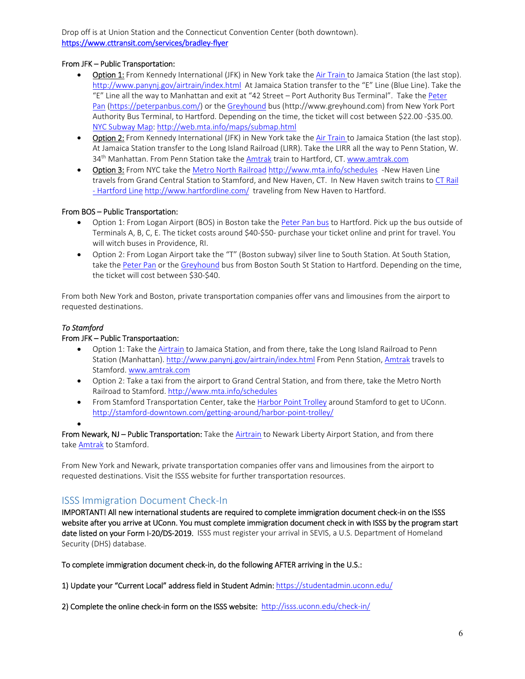Drop off is at Union Station and the Connecticut Convention Center (both downtown). https://www.cttransit.com/services/bradley‐flyer

#### From JFK – Public Transportation:

- Option 1: From Kennedy International (JFK) in New York take the Air Train to Jamaica Station (the last stop). http://www.panynj.gov/airtrain/index.html At Jamaica Station transfer to the "E" Line (Blue Line). Take the "E" Line all the way to Manhattan and exit at "42 Street – Port Authority Bus Terminal". Take the Peter Pan (https://peterpanbus.com/) or the Greyhound bus (http://www.greyhound.com) from New York Port Authority Bus Terminal, to Hartford. Depending on the time, the ticket will cost between \$22.00 ‐\$35.00. NYC Subway Map: http://web.mta.info/maps/submap.html
- **Option 2:** From Kennedy International (JFK) in New York take the Air Train to Jamaica Station (the last stop). At Jamaica Station transfer to the Long Island Railroad (LIRR). Take the LIRR all the way to Penn Station, W. 34<sup>th</sup> Manhattan. From Penn Station take the Amtrak train to Hartford, CT. www.amtrak.com
- Option 3: From NYC take the Metro North Railroad http://www.mta.info/schedules -New Haven Line travels from Grand Central Station to Stamford, and New Haven, CT. In New Haven switch trains to CT Rail - Hartford Line http://www.hartfordline.com/ traveling from New Haven to Hartford.

#### From BOS – Public Transportation:

- Option 1: From Logan Airport (BOS) in Boston take the Peter Pan bus to Hartford. Pick up the bus outside of Terminals A, B, C, E. The ticket costs around \$40‐\$50‐ purchase your ticket online and print for travel. You will witch buses in Providence, RI.
- Option 2: From Logan Airport take the "T" (Boston subway) silver line to South Station. At South Station, take the Peter Pan or the Greyhound bus from Boston South St Station to Hartford. Depending on the time, the ticket will cost between \$30‐\$40.

From both New York and Boston, private transportation companies offer vans and limousines from the airport to requested destinations.

#### *To Stamford*

#### From JFK – Public Transportaation:

- Option 1: Take the Airtrain to Jamaica Station, and from there, take the Long Island Railroad to Penn Station (Manhattan). http://www.panynj.gov/airtrain/index.html From Penn Station, Amtrak travels to Stamford. www.amtrak.com
- Option 2: Take a taxi from the airport to Grand Central Station, and from there, take the Metro North Railroad to Stamford. http://www.mta.info/schedules
- From Stamford Transportation Center, take the Harbor Point Trolley around Stamford to get to UConn. http://stamford-downtown.com/getting-around/harbor-point-trolley/

 $\bullet$ 

From Newark, NJ – Public Transportation: Take the **Airtrain** to Newark Liberty Airport Station, and from there take **Amtrak** to Stamford.

From New York and Newark, private transportation companies offer vans and limousines from the airport to requested destinations. Visit the ISSS website for further transportation resources.

# ISSS Immigration Document Check‐In

IMPORTANT! All new international students are required to complete immigration document check‐in on the ISSS website after you arrive at UConn. You must complete immigration document check in with ISSS by the program start date listed on your Form I-20/DS-2019. ISSS must register your arrival in SEVIS, a U.S. Department of Homeland Security (DHS) database.

To complete immigration document check-in, do the following AFTER arriving in the U.S.:

1) Update your "Current Local" address field in Student Admin: https://studentadmin.uconn.edu/

2) Complete the online check-in form on the ISSS website: http://isss.uconn.edu/check-in/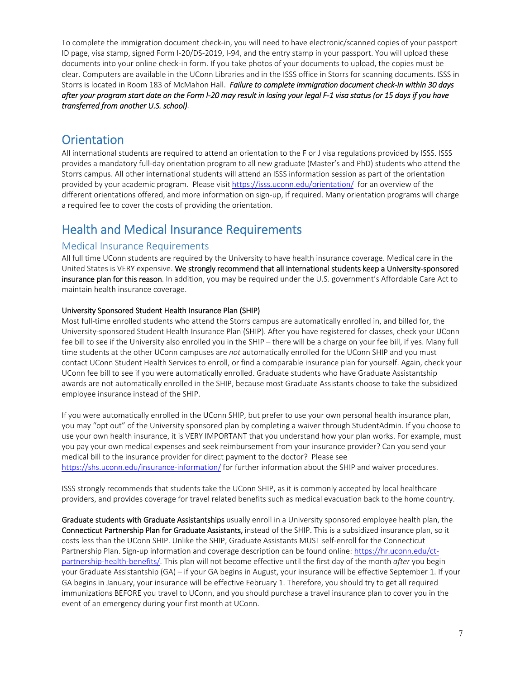To complete the immigration document check‐in, you will need to have electronic/scanned copies of your passport ID page, visa stamp, signed Form I‐20/DS‐2019, I‐94, and the entry stamp in your passport. You will upload these documents into your online check‐in form. If you take photos of your documents to upload, the copies must be clear. Computers are available in the UConn Libraries and in the ISSS office in Storrs for scanning documents. ISSS in Storrs is located in Room 183 of McMahon Hall. *Failure to complete immigration document check‐in within 30 days after your program start date on the Form I‐20 may result in losing your legal F‐1 visa status (or 15 days if you have transferred from another U.S. school)*.

# **Orientation**

All international students are required to attend an orientation to the F or J visa regulations provided by ISSS. ISSS provides a mandatory full‐day orientation program to all new graduate (Master's and PhD) students who attend the Storrs campus. All other international students will attend an ISSS information session as part of the orientation provided by your academic program. Please visit https://isss.uconn.edu/orientation/ for an overview of the different orientations offered, and more information on sign‐up, if required. Many orientation programs will charge a required fee to cover the costs of providing the orientation.

# Health and Medical Insurance Requirements

## Medical Insurance Requirements

All full time UConn students are required by the University to have health insurance coverage. Medical care in the United States is VERY expensive. We strongly recommend that all international students keep a University‐sponsored insurance plan for this reason. In addition, you may be required under the U.S. government's Affordable Care Act to maintain health insurance coverage.

#### University Sponsored Student Health Insurance Plan (SHIP)

Most full-time enrolled students who attend the Storrs campus are automatically enrolled in, and billed for, the University‐sponsored Student Health Insurance Plan (SHIP). After you have registered for classes, check your UConn fee bill to see if the University also enrolled you in the SHIP – there will be a charge on your fee bill, if yes. Many full time students at the other UConn campuses are *not* automatically enrolled for the UConn SHIP and you must contact UConn Student Health Services to enroll, or find a comparable insurance plan for yourself. Again, check your UConn fee bill to see if you were automatically enrolled. Graduate students who have Graduate Assistantship awards are not automatically enrolled in the SHIP, because most Graduate Assistants choose to take the subsidized employee insurance instead of the SHIP.

If you were automatically enrolled in the UConn SHIP, but prefer to use your own personal health insurance plan, you may "opt out" of the University sponsored plan by completing a waiver through StudentAdmin. If you choose to use your own health insurance, it is VERY IMPORTANT that you understand how your plan works. For example, must you pay your own medical expenses and seek reimbursement from your insurance provider? Can you send your medical bill to the insurance provider for direct payment to the doctor? Please see https://shs.uconn.edu/insurance-information/ for further information about the SHIP and waiver procedures.

ISSS strongly recommends that students take the UConn SHIP, as it is commonly accepted by local healthcare providers, and provides coverage for travel related benefits such as medical evacuation back to the home country.

Graduate students with Graduate Assistantships usually enroll in a University sponsored employee health plan, the Connecticut Partnership Plan for Graduate Assistants, instead of the SHIP. This is a subsidized insurance plan, so it costs less than the UConn SHIP. Unlike the SHIP, Graduate Assistants MUST self‐enroll for the Connecticut Partnership Plan. Sign‐up information and coverage description can be found online: https://hr.uconn.edu/ct‐ partnership‐health‐benefits/. This plan will not become effective until the first day of the month *after* you begin your Graduate Assistantship (GA) – if your GA begins in August, your insurance will be effective September 1. If your GA begins in January, your insurance will be effective February 1. Therefore, you should try to get all required immunizations BEFORE you travel to UConn, and you should purchase a travel insurance plan to cover you in the event of an emergency during your first month at UConn.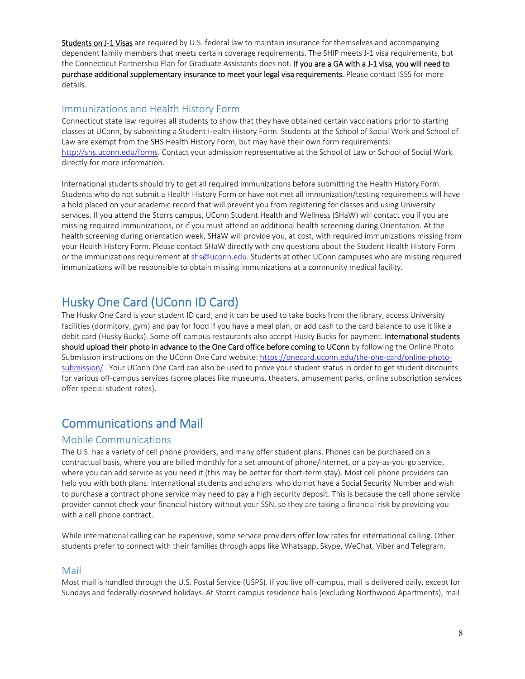Students on J-1 Visas are required by U.S. federal law to maintain insurance for themselves and accompanying dependent family members that meets certain coverage requirements. The SHIP meets J-1 visa requirements, but the Connecticut Partnership Plan for Graduate Assistants does not. If you are a GA with a J-1 visa, you will need to purchase additional supplementary insurance to meet your legal visa requirements. Please contact ISSS for more details.

## Immunizations and Health History Form

Connecticut state law requires all students to show that they have obtained certain vaccinations prior to starting classes at UConn, by submitting a Student Health History Form. Students at the School of Social Work and School of Law are exempt from the SHS Health History Form, but may have their own form requirements: http://shs.uconn.edu/forms. Contact your admission representative at the School of Law or School of Social Work directly for more information.

International students should try to get all required immunizations before submitting the Health History Form. Students who do not submit a Health History Form or have not met all immunization/testing requirements will have a hold placed on your academic record that will prevent you from registering for classes and using University services. If you attend the Storrs campus, UConn Student Health and Wellness (SHaW) will contact you if you are missing required immunizations, or if you must attend an additional health screening during Orientation. At the health screening during orientation week, SHaW will provide you, at cost, with required immunizations missing from your Health History Form. Please contact SHaW directly with any questions about the Student Health History Form or the immunizations requirement at shs@uconn.edu. Students at other UConn campuses who are missing required immunizations will be responsible to obtain missing immunizations at a community medical facility.

# Husky One Card (UConn ID Card)

The Husky One Card is your student ID card, and it can be used to take books from the library, access University facilities (dormitory, gym) and pay for food if you have a meal plan, or add cash to the card balance to use it like a debit card (Husky Bucks). Some off-campus restaurants also accept Husky Bucks for payment. International students should upload their photo in advance to the One Card office before coming to UConn by following the Online Photo Submission instructions on the UConn One Card website: https://onecard.uconn.edu/the-one-card/online-photosubmission/. Your UConn One Card can also be used to prove your student status in order to get student discounts for various off-campus services (some places like museums, theaters, amusement parks, online subscription services offer special student rates).

# Communications and Mail

### Mobile Communications

The U.S. has a variety of cell phone providers, and many offer student plans. Phones can be purchased on a contractual basis, where you are billed monthly for a set amount of phone/internet, or a pay‐as‐you‐go service, where you can add service as you need it (this may be better for short-term stay). Most cell phone providers can help you with both plans. International students and scholars who do not have a Social Security Number and wish to purchase a contract phone service may need to pay a high security deposit. This is because the cell phone service provider cannot check your financial history without your SSN, so they are taking a financial risk by providing you with a cell phone contract.

While international calling can be expensive, some service providers offer low rates for international calling. Other students prefer to connect with their families through apps like Whatsapp, Skype, WeChat, Viber and Telegram.

### Mail

Most mail is handled through the U.S. Postal Service (USPS). If you live off‐campus, mail is delivered daily, except for Sundays and federally‐observed holidays. At Storrs campus residence halls (excluding Northwood Apartments), mail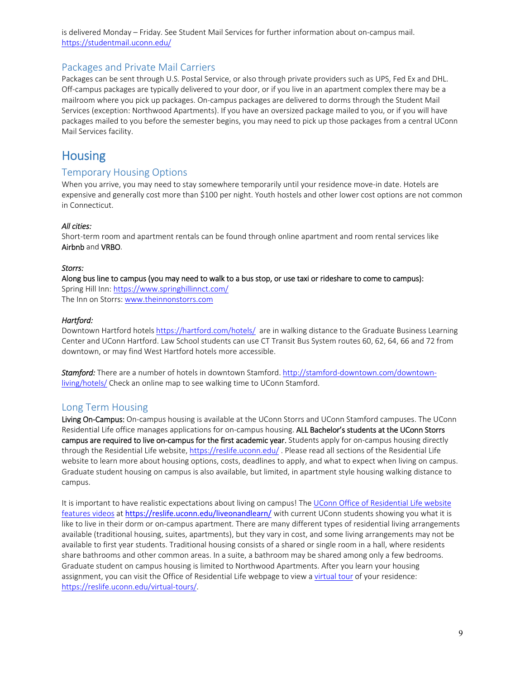is delivered Monday – Friday. See Student Mail Services for further information about on‐campus mail. https://studentmail.uconn.edu/

### Packages and Private Mail Carriers

Packages can be sent through U.S. Postal Service, or also through private providers such as UPS, Fed Ex and DHL. Off-campus packages are typically delivered to your door, or if you live in an apartment complex there may be a mailroom where you pick up packages. On‐campus packages are delivered to dorms through the Student Mail Services (exception: Northwood Apartments). If you have an oversized package mailed to you, or if you will have packages mailed to you before the semester begins, you may need to pick up those packages from a central UConn Mail Services facility.

# **Housing**

### Temporary Housing Options

When you arrive, you may need to stay somewhere temporarily until your residence move-in date. Hotels are expensive and generally cost more than \$100 per night. Youth hostels and other lower cost options are not common in Connecticut.

#### *All cities:*

Short-term room and apartment rentals can be found through online apartment and room rental services like Airbnb and VRBO.

#### *Storrs:*

#### Along bus line to campus (you may need to walk to a bus stop, or use taxi or rideshare to come to campus):

Spring Hill Inn: https://www.springhillinnct.com/ The Inn on Storrs: www.theinnonstorrs.com

#### *Hartford:*

Downtown Hartford hotels https://hartford.com/hotels/ are in walking distance to the Graduate Business Learning Center and UConn Hartford. Law School students can use CT Transit Bus System routes 60, 62, 64, 66 and 72 from downtown, or may find West Hartford hotels more accessible.

*Stamford:* There are a number of hotels in downtown Stamford. http://stamford‐downtown.com/downtown‐ living/hotels/ Check an online map to see walking time to UConn Stamford.

### Long Term Housing

Living On-Campus: On-campus housing is available at the UConn Storrs and UConn Stamford campuses. The UConn Residential Life office manages applications for on-campus housing. ALL Bachelor's students at the UConn Storrs campus are required to live on-campus for the first academic year. Students apply for on-campus housing directly through the Residential Life website, https://reslife.uconn.edu/ . Please read all sections of the Residential Life website to learn more about housing options, costs, deadlines to apply, and what to expect when living on campus. Graduate student housing on campus is also available, but limited, in apartment style housing walking distance to campus.

It is important to have realistic expectations about living on campus! The UConn Office of Residential Life website features videos at https://reslife.uconn.edu/liveonandlearn/ with current UConn students showing you what it is like to live in their dorm or on‐campus apartment. There are many different types of residential living arrangements available (traditional housing, suites, apartments), but they vary in cost, and some living arrangements may not be available to first year students. Traditional housing consists of a shared or single room in a hall, where residents share bathrooms and other common areas. In a suite, a bathroom may be shared among only a few bedrooms. Graduate student on campus housing is limited to Northwood Apartments. After you learn your housing assignment, you can visit the Office of Residential Life webpage to view a virtual tour of your residence: https://reslife.uconn.edu/virtual‐tours/.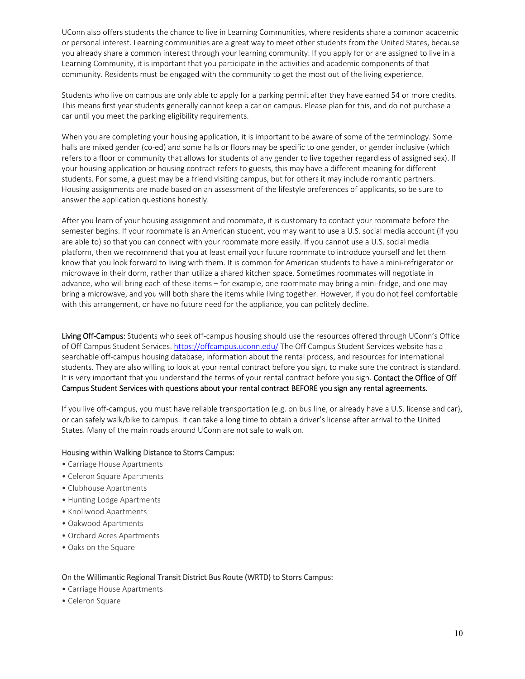UConn also offers students the chance to live in Learning Communities, where residents share a common academic or personal interest. Learning communities are a great way to meet other students from the United States, because you already share a common interest through your learning community. If you apply for or are assigned to live in a Learning Community, it is important that you participate in the activities and academic components of that community. Residents must be engaged with the community to get the most out of the living experience.

Students who live on campus are only able to apply for a parking permit after they have earned 54 or more credits. This means first year students generally cannot keep a car on campus. Please plan for this, and do not purchase a car until you meet the parking eligibility requirements.

When you are completing your housing application, it is important to be aware of some of the terminology. Some halls are mixed gender (co-ed) and some halls or floors may be specific to one gender, or gender inclusive (which refers to a floor or community that allows for students of any gender to live together regardless of assigned sex). If your housing application or housing contract refers to guests, this may have a different meaning for different students. For some, a guest may be a friend visiting campus, but for others it may include romantic partners. Housing assignments are made based on an assessment of the lifestyle preferences of applicants, so be sure to answer the application questions honestly.

After you learn of your housing assignment and roommate, it is customary to contact your roommate before the semester begins. If your roommate is an American student, you may want to use a U.S. social media account (if you are able to) so that you can connect with your roommate more easily. If you cannot use a U.S. social media platform, then we recommend that you at least email your future roommate to introduce yourself and let them know that you look forward to living with them. It is common for American students to have a mini-refrigerator or microwave in their dorm, rather than utilize a shared kitchen space. Sometimes roommates will negotiate in advance, who will bring each of these items – for example, one roommate may bring a mini‐fridge, and one may bring a microwave, and you will both share the items while living together. However, if you do not feel comfortable with this arrangement, or have no future need for the appliance, you can politely decline.

Living Off-Campus: Students who seek off-campus housing should use the resources offered through UConn's Office of Off Campus Student Services. https://offcampus.uconn.edu/ The Off Campus Student Services website has a searchable off‐campus housing database, information about the rental process, and resources for international students. They are also willing to look at your rental contract before you sign, to make sure the contract is standard. It is very important that you understand the terms of your rental contract before you sign. Contact the Office of Off Campus Student Services with questions about your rental contract BEFORE you sign any rental agreements.

If you live off-campus, you must have reliable transportation (e.g. on bus line, or already have a U.S. license and car), or can safely walk/bike to campus. It can take a long time to obtain a driver's license after arrival to the United States. Many of the main roads around UConn are not safe to walk on.

#### Housing within Walking Distance to Storrs Campus:

- Carriage House Apartments
- Celeron Square Apartments
- Clubhouse Apartments
- Hunting Lodge Apartments
- Knollwood Apartments
- Oakwood Apartments
- Orchard Acres Apartments
- Oaks on the Square

#### On the Willimantic Regional Transit District Bus Route (WRTD) to Storrs Campus:

- Carriage House Apartments
- Celeron Square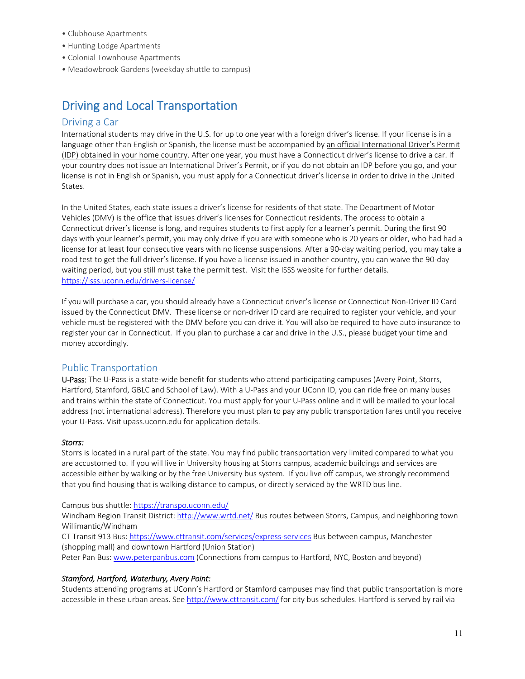- Clubhouse Apartments
- Hunting Lodge Apartments
- Colonial Townhouse Apartments
- Meadowbrook Gardens (weekday shuttle to campus)

# Driving and Local Transportation

#### Driving a Car

International students may drive in the U.S. for up to one year with a foreign driver's license. If your license is in a language other than English or Spanish, the license must be accompanied by an official International Driver's Permit (IDP) obtained in your home country. After one year, you must have a Connecticut driver's license to drive a car. If your country does not issue an International Driver's Permit, or if you do not obtain an IDP before you go, and your license is not in English or Spanish, you must apply for a Connecticut driver's license in order to drive in the United States.

In the United States, each state issues a driver's license for residents of that state. The Department of Motor Vehicles (DMV) is the office that issues driver's licenses for Connecticut residents. The process to obtain a Connecticut driver's license is long, and requires students to first apply for a learner's permit. During the first 90 days with your learner's permit, you may only drive if you are with someone who is 20 years or older, who had had a license for at least four consecutive years with no license suspensions. After a 90‐day waiting period, you may take a road test to get the full driver's license. If you have a license issued in another country, you can waive the 90‐day waiting period, but you still must take the permit test. Visit the ISSS website for further details. https://isss.uconn.edu/drivers‐license/

If you will purchase a car, you should already have a Connecticut driver's license or Connecticut Non‐Driver ID Card issued by the Connecticut DMV. These license or non-driver ID card are required to register your vehicle, and your vehicle must be registered with the DMV before you can drive it. You will also be required to have auto insurance to register your car in Connecticut. If you plan to purchase a car and drive in the U.S., please budget your time and money accordingly.

### Public Transportation

U-Pass: The U-Pass is a state-wide benefit for students who attend participating campuses (Avery Point, Storrs, Hartford, Stamford, GBLC and School of Law). With a U-Pass and your UConn ID, you can ride free on many buses and trains within the state of Connecticut. You must apply for your U-Pass online and it will be mailed to your local address (not international address). Therefore you must plan to pay any public transportation fares until you receive your U‐Pass. Visit upass.uconn.edu for application details.

#### *Storrs:*

Storrs is located in a rural part of the state. You may find public transportation very limited compared to what you are accustomed to. If you will live in University housing at Storrs campus, academic buildings and services are accessible either by walking or by the free University bus system. If you live off campus, we strongly recommend that you find housing that is walking distance to campus, or directly serviced by the WRTD bus line.

#### Campus bus shuttle: https://transpo.uconn.edu/

Windham Region Transit District: http://www.wrtd.net/ Bus routes between Storrs, Campus, and neighboring town Willimantic/Windham

CT Transit 913 Bus: https://www.cttransit.com/services/express‐services Bus between campus, Manchester (shopping mall) and downtown Hartford (Union Station)

Peter Pan Bus: www.peterpanbus.com (Connections from campus to Hartford, NYC, Boston and beyond)

#### *Stamford, Hartford, Waterbury, Avery Point:*

Students attending programs at UConn's Hartford or Stamford campuses may find that public transportation is more accessible in these urban areas. See http://www.cttransit.com/ for city bus schedules. Hartford is served by rail via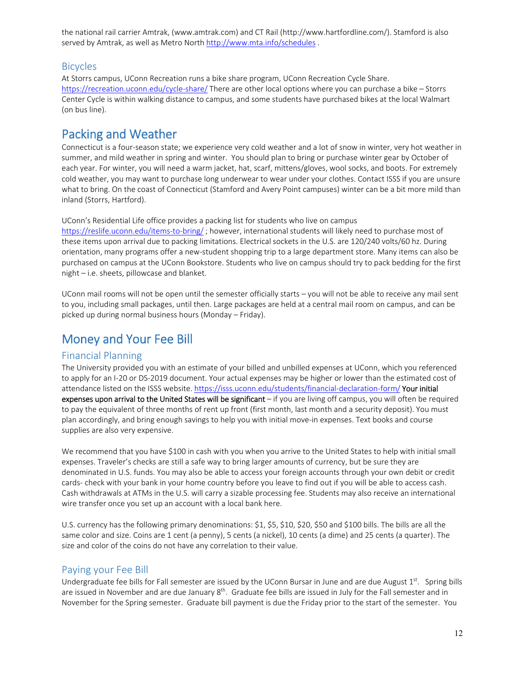the national rail carrier Amtrak, (www.amtrak.com) and CT Rail (http://www.hartfordline.com/). Stamford is also served by Amtrak, as well as Metro North http://www.mta.info/schedules.

#### Bicycles

At Storrs campus, UConn Recreation runs a bike share program, UConn Recreation Cycle Share. https://recreation.uconn.edu/cycle-share/ There are other local options where you can purchase a bike – Storrs Center Cycle is within walking distance to campus, and some students have purchased bikes at the local Walmart (on bus line).

# Packing and Weather

Connecticut is a four‐season state; we experience very cold weather and a lot of snow in winter, very hot weather in summer, and mild weather in spring and winter. You should plan to bring or purchase winter gear by October of each year. For winter, you will need a warm jacket, hat, scarf, mittens/gloves, wool socks, and boots. For extremely cold weather, you may want to purchase long underwear to wear under your clothes. Contact ISSS if you are unsure what to bring. On the coast of Connecticut (Stamford and Avery Point campuses) winter can be a bit more mild than inland (Storrs, Hartford).

UConn's Residential Life office provides a packing list for students who live on campus

https://reslife.uconn.edu/items-to-bring/; however, international students will likely need to purchase most of these items upon arrival due to packing limitations. Electrical sockets in the U.S. are 120/240 volts/60 hz. During orientation, many programs offer a new‐student shopping trip to a large department store. Many items can also be purchased on campus at the UConn Bookstore. Students who live on campus should try to pack bedding for the first night – i.e. sheets, pillowcase and blanket.

UConn mail rooms will not be open until the semester officially starts – you will not be able to receive any mail sent to you, including small packages, until then. Large packages are held at a central mail room on campus, and can be picked up during normal business hours (Monday – Friday).

# Money and Your Fee Bill

### Financial Planning

The University provided you with an estimate of your billed and unbilled expenses at UConn, which you referenced to apply for an I‐20 or DS‐2019 document. Your actual expenses may be higher or lower than the estimated cost of attendance listed on the ISSS website. https://isss.uconn.edu/students/financial-declaration-form/ Your initial expenses upon arrival to the United States will be significant – if you are living off campus, you will often be required to pay the equivalent of three months of rent up front (first month, last month and a security deposit). You must plan accordingly, and bring enough savings to help you with initial move‐in expenses. Text books and course supplies are also very expensive.

We recommend that you have \$100 in cash with you when you arrive to the United States to help with initial small expenses. Traveler's checks are still a safe way to bring larger amounts of currency, but be sure they are denominated in U.S. funds. You may also be able to access your foreign accounts through your own debit or credit cards- check with your bank in your home country before you leave to find out if you will be able to access cash. Cash withdrawals at ATMs in the U.S. will carry a sizable processing fee. Students may also receive an international wire transfer once you set up an account with a local bank here.

U.S. currency has the following primary denominations: \$1, \$5, \$10, \$20, \$50 and \$100 bills. The bills are all the same color and size. Coins are 1 cent (a penny), 5 cents (a nickel), 10 cents (a dime) and 25 cents (a quarter). The size and color of the coins do not have any correlation to their value.

### Paying your Fee Bill

Undergraduate fee bills for Fall semester are issued by the UConn Bursar in June and are due August  $1<sup>st</sup>$ . Spring bills are issued in November and are due January 8<sup>th</sup>. Graduate fee bills are issued in July for the Fall semester and in November for the Spring semester. Graduate bill payment is due the Friday prior to the start of the semester. You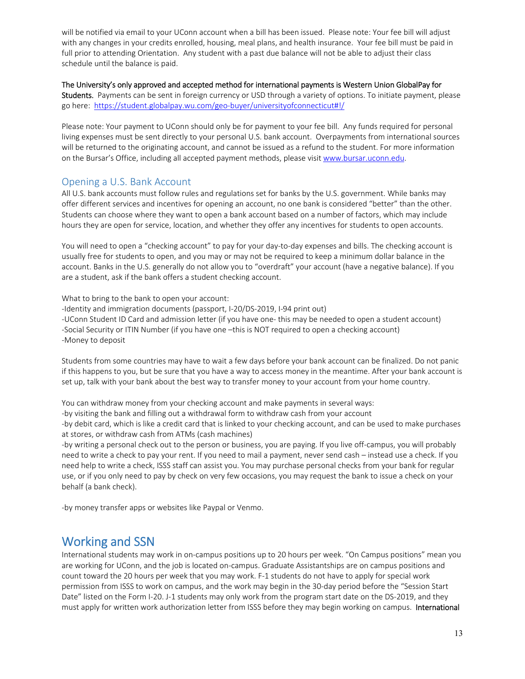will be notified via email to your UConn account when a bill has been issued. Please note: Your fee bill will adjust with any changes in your credits enrolled, housing, meal plans, and health insurance. Your fee bill must be paid in full prior to attending Orientation. Any student with a past due balance will not be able to adjust their class schedule until the balance is paid.

The University's only approved and accepted method for international payments is Western Union GlobalPay for Students. Payments can be sent in foreign currency or USD through a variety of options. To initiate payment, please go here: https://student.globalpay.wu.com/geo-buyer/universityofconnecticut#!/

Please note: Your payment to UConn should only be for payment to your fee bill. Any funds required for personal living expenses must be sent directly to your personal U.S. bank account. Overpayments from international sources will be returned to the originating account, and cannot be issued as a refund to the student. For more information on the Bursar's Office, including all accepted payment methods, please visit www.bursar.uconn.edu.

## Opening a U.S. Bank Account

All U.S. bank accounts must follow rules and regulations set for banks by the U.S. government. While banks may offer different services and incentives for opening an account, no one bank is considered "better" than the other. Students can choose where they want to open a bank account based on a number of factors, which may include hours they are open for service, location, and whether they offer any incentives for students to open accounts.

You will need to open a "checking account" to pay for your day-to-day expenses and bills. The checking account is usually free for students to open, and you may or may not be required to keep a minimum dollar balance in the account. Banks in the U.S. generally do not allow you to "overdraft" your account (have a negative balance). If you are a student, ask if the bank offers a student checking account.

What to bring to the bank to open your account:

-Identity and immigration documents (passport, I-20/DS-2019, I-94 print out)

‐UConn Student ID Card and admission letter (if you have one‐ this may be needed to open a student account) ‐Social Security or ITIN Number (if you have one –this is NOT required to open a checking account) ‐Money to deposit

Students from some countries may have to wait a few days before your bank account can be finalized. Do not panic if this happens to you, but be sure that you have a way to access money in the meantime. After your bank account is set up, talk with your bank about the best way to transfer money to your account from your home country.

You can withdraw money from your checking account and make payments in several ways:

‐by visiting the bank and filling out a withdrawal form to withdraw cash from your account

‐by debit card, which is like a credit card that is linked to your checking account, and can be used to make purchases at stores, or withdraw cash from ATMs (cash machines)

‐by writing a personal check out to the person or business, you are paying. If you live off‐campus, you will probably need to write a check to pay your rent. If you need to mail a payment, never send cash – instead use a check. If you need help to write a check, ISSS staff can assist you. You may purchase personal checks from your bank for regular use, or if you only need to pay by check on very few occasions, you may request the bank to issue a check on your behalf (a bank check).

‐by money transfer apps or websites like Paypal or Venmo.

# Working and SSN

International students may work in on‐campus positions up to 20 hours per week. "On Campus positions" mean you are working for UConn, and the job is located on‐campus. Graduate Assistantships are on campus positions and count toward the 20 hours per week that you may work. F-1 students do not have to apply for special work permission from ISSS to work on campus, and the work may begin in the 30‐day period before the "Session Start Date" listed on the Form I-20. J-1 students may only work from the program start date on the DS-2019, and they must apply for written work authorization letter from ISSS before they may begin working on campus. International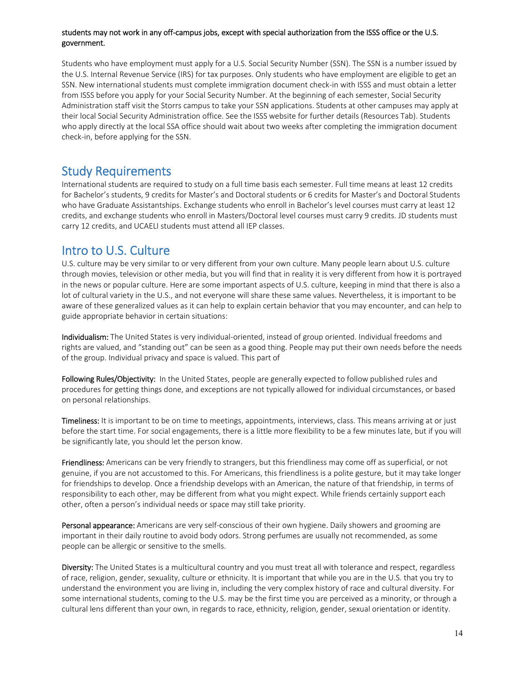#### students may not work in any off‐campus jobs, except with special authorization from the ISSS office or the U.S. government.

Students who have employment must apply for a U.S. Social Security Number (SSN). The SSN is a number issued by the U.S. Internal Revenue Service (IRS) for tax purposes. Only students who have employment are eligible to get an SSN. New international students must complete immigration document check-in with ISSS and must obtain a letter from ISSS before you apply for your Social Security Number. At the beginning of each semester, Social Security Administration staff visit the Storrs campus to take your SSN applications. Students at other campuses may apply at their local Social Security Administration office. See the ISSS website for further details (Resources Tab). Students who apply directly at the local SSA office should wait about two weeks after completing the immigration document check‐in, before applying for the SSN.

# Study Requirements

International students are required to study on a full time basis each semester. Full time means at least 12 credits for Bachelor's students, 9 credits for Master's and Doctoral students or 6 credits for Master's and Doctoral Students who have Graduate Assistantships. Exchange students who enroll in Bachelor's level courses must carry at least 12 credits, and exchange students who enroll in Masters/Doctoral level courses must carry 9 credits. JD students must carry 12 credits, and UCAELI students must attend all IEP classes.

# Intro to U.S. Culture

U.S. culture may be very similar to or very different from your own culture. Many people learn about U.S. culture through movies, television or other media, but you will find that in reality it is very different from how it is portrayed in the news or popular culture. Here are some important aspects of U.S. culture, keeping in mind that there is also a lot of cultural variety in the U.S., and not everyone will share these same values. Nevertheless, it is important to be aware of these generalized values as it can help to explain certain behavior that you may encounter, and can help to guide appropriate behavior in certain situations:

Individualism: The United States is very individual-oriented, instead of group oriented. Individual freedoms and rights are valued, and "standing out" can be seen as a good thing. People may put their own needs before the needs of the group. Individual privacy and space is valued. This part of

Following Rules/Objectivity: In the United States, people are generally expected to follow published rules and procedures for getting things done, and exceptions are not typically allowed for individual circumstances, or based on personal relationships.

Timeliness: It is important to be on time to meetings, appointments, interviews, class. This means arriving at or just before the start time. For social engagements, there is a little more flexibility to be a few minutes late, but if you will be significantly late, you should let the person know.

Friendliness: Americans can be very friendly to strangers, but this friendliness may come off as superficial, or not genuine, if you are not accustomed to this. For Americans, this friendliness is a polite gesture, but it may take longer for friendships to develop. Once a friendship develops with an American, the nature of that friendship, in terms of responsibility to each other, may be different from what you might expect. While friends certainly support each other, often a person's individual needs or space may still take priority.

Personal appearance: Americans are very self-conscious of their own hygiene. Daily showers and grooming are important in their daily routine to avoid body odors. Strong perfumes are usually not recommended, as some people can be allergic or sensitive to the smells.

Diversity: The United States is a multicultural country and you must treat all with tolerance and respect, regardless of race, religion, gender, sexuality, culture or ethnicity. It is important that while you are in the U.S. that you try to understand the environment you are living in, including the very complex history of race and cultural diversity. For some international students, coming to the U.S. may be the first time you are perceived as a minority, or through a cultural lens different than your own, in regards to race, ethnicity, religion, gender, sexual orientation or identity.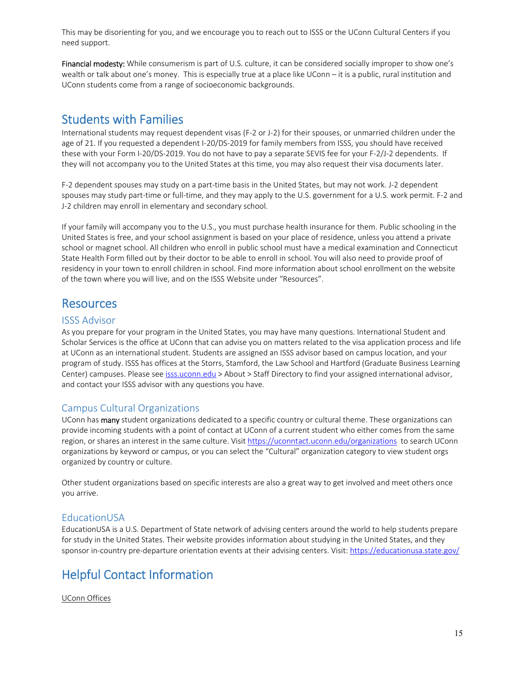This may be disorienting for you, and we encourage you to reach out to ISSS or the UConn Cultural Centers if you need support.

Financial modesty: While consumerism is part of U.S. culture, it can be considered socially improper to show one's wealth or talk about one's money. This is especially true at a place like UConn – it is a public, rural institution and UConn students come from a range of socioeconomic backgrounds.

# Students with Families

International students may request dependent visas (F‐2 or J‐2) for their spouses, or unmarried children under the age of 21. If you requested a dependent I-20/DS-2019 for family members from ISSS, you should have received these with your Form I‐20/DS‐2019. You do not have to pay a separate SEVIS fee for your F‐2/J‐2 dependents. If they will not accompany you to the United States at this time, you may also request their visa documents later.

F-2 dependent spouses may study on a part-time basis in the United States, but may not work. J-2 dependent spouses may study part-time or full-time, and they may apply to the U.S. government for a U.S. work permit. F-2 and J-2 children may enroll in elementary and secondary school.

If your family will accompany you to the U.S., you must purchase health insurance for them. Public schooling in the United States is free, and your school assignment is based on your place of residence, unless you attend a private school or magnet school. All children who enroll in public school must have a medical examination and Connecticut State Health Form filled out by their doctor to be able to enroll in school. You will also need to provide proof of residency in your town to enroll children in school. Find more information about school enrollment on the website of the town where you will live, and on the ISSS Website under "Resources".

# **Resources**

## ISSS Advisor

As you prepare for your program in the United States, you may have many questions. International Student and Scholar Services is the office at UConn that can advise you on matters related to the visa application process and life at UConn as an international student. Students are assigned an ISSS advisor based on campus location, and your program of study. ISSS has offices at the Storrs, Stamford, the Law School and Hartford (Graduate Business Learning Center) campuses. Please see isss.uconn.edu > About > Staff Directory to find your assigned international advisor, and contact your ISSS advisor with any questions you have.

# Campus Cultural Organizations

UConn has many student organizations dedicated to a specific country or cultural theme. These organizations can provide incoming students with a point of contact at UConn of a current student who either comes from the same region, or shares an interest in the same culture. Visit https://uconntact.uconn.edu/organizations to search UConn organizations by keyword or campus, or you can select the "Cultural" organization category to view student orgs organized by country or culture.

Other student organizations based on specific interests are also a great way to get involved and meet others once you arrive.

# EducationUSA

EducationUSA is a U.S. Department of State network of advising centers around the world to help students prepare for study in the United States. Their website provides information about studying in the United States, and they sponsor in-country pre-departure orientation events at their advising centers. Visit: https://educationusa.state.gov/

# Helpful Contact Information

UConn Offices